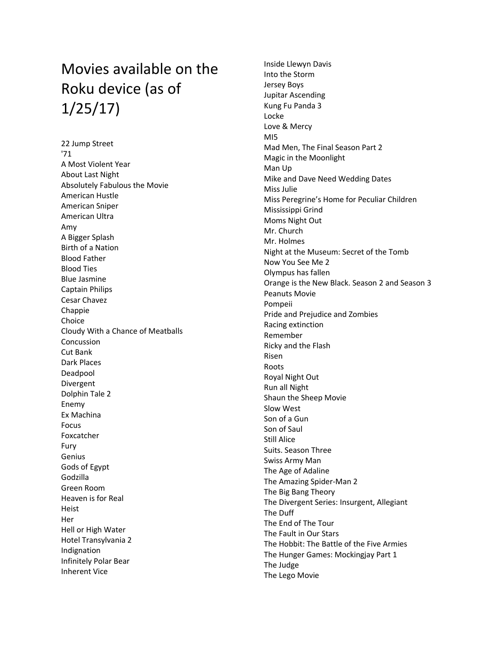## Movies available on the Roku device (as of 1/25/17)

22 Jump Street '71 A Most Violent Year About Last Night Absolutely Fabulous the Movie American Hustle American Sniper American Ultra Amy A Bigger Splash Birth of a Nation Blood Father Blood Ties Blue Jasmine Captain Philips Cesar Chavez Chappie Choice Cloudy With a Chance of Meatballs Concussion Cut Bank Dark Places Deadpool Divergent Dolphin Tale 2 Enemy Ex Machina Focus Foxcatcher Fury Genius Gods of Egypt Godzilla Green Room Heaven is for Real Heist Her Hell or High Water Hotel Transylvania 2 Indignation Infinitely Polar Bear Inherent Vice

Inside Llewyn Davis Into the Storm Jersey Boys Jupitar Ascending Kung Fu Panda 3 Locke Love & Mercy MI5 Mad Men, The Final Season Part 2 Magic in the Moonlight Man Up Mike and Dave Need Wedding Dates Miss Julie Miss Peregrine's Home for Peculiar Children Mississippi Grind Moms Night Out Mr. Church Mr. Holmes Night at the Museum: Secret of the Tomb Now You See Me 2 Olympus has fallen Orange is the New Black. Season 2 and Season 3 Peanuts Movie Pompeii Pride and Prejudice and Zombies Racing extinction Remember Ricky and the Flash Risen Roots Royal Night Out Run all Night Shaun the Sheep Movie Slow West Son of a Gun Son of Saul Still Alice Suits. Season Three Swiss Army Man The Age of Adaline The Amazing Spider-Man 2 The Big Bang Theory The Divergent Series: Insurgent, Allegiant The Duff The End of The Tour The Fault in Our Stars The Hobbit: The Battle of the Five Armies The Hunger Games: Mockingjay Part 1 The Judge The Lego Movie